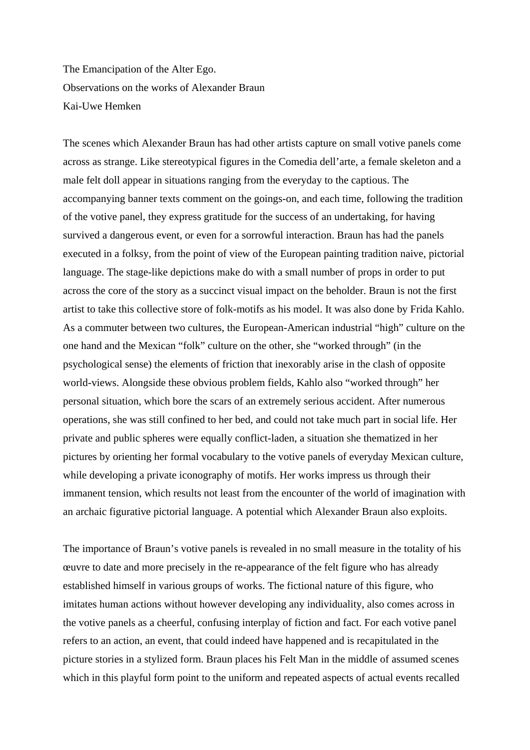The Emancipation of the Alter Ego. Observations on the works of Alexander Braun Kai-Uwe Hemken

The scenes which Alexander Braun has had other artists capture on small votive panels come across as strange. Like stereotypical figures in the Comedia dell'arte, a female skeleton and a male felt doll appear in situations ranging from the everyday to the captious. The accompanying banner texts comment on the goings-on, and each time, following the tradition of the votive panel, they express gratitude for the success of an undertaking, for having survived a dangerous event, or even for a sorrowful interaction. Braun has had the panels executed in a folksy, from the point of view of the European painting tradition naive, pictorial language. The stage-like depictions make do with a small number of props in order to put across the core of the story as a succinct visual impact on the beholder. Braun is not the first artist to take this collective store of folk-motifs as his model. It was also done by Frida Kahlo. As a commuter between two cultures, the European-American industrial "high" culture on the one hand and the Mexican "folk" culture on the other, she "worked through" (in the psychological sense) the elements of friction that inexorably arise in the clash of opposite world-views. Alongside these obvious problem fields, Kahlo also "worked through" her personal situation, which bore the scars of an extremely serious accident. After numerous operations, she was still confined to her bed, and could not take much part in social life. Her private and public spheres were equally conflict-laden, a situation she thematized in her pictures by orienting her formal vocabulary to the votive panels of everyday Mexican culture, while developing a private iconography of motifs. Her works impress us through their immanent tension, which results not least from the encounter of the world of imagination with an archaic figurative pictorial language. A potential which Alexander Braun also exploits.

The importance of Braun's votive panels is revealed in no small measure in the totality of his œuvre to date and more precisely in the re-appearance of the felt figure who has already established himself in various groups of works. The fictional nature of this figure, who imitates human actions without however developing any individuality, also comes across in the votive panels as a cheerful, confusing interplay of fiction and fact. For each votive panel refers to an action, an event, that could indeed have happened and is recapitulated in the picture stories in a stylized form. Braun places his Felt Man in the middle of assumed scenes which in this playful form point to the uniform and repeated aspects of actual events recalled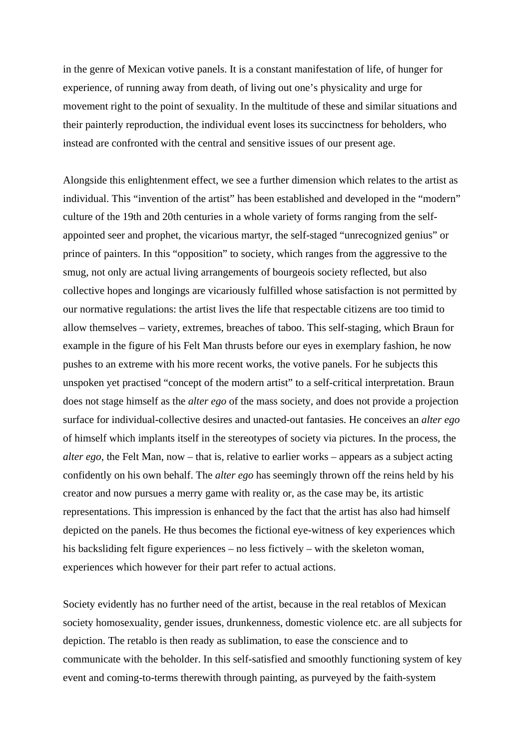in the genre of Mexican votive panels. It is a constant manifestation of life, of hunger for experience, of running away from death, of living out one's physicality and urge for movement right to the point of sexuality. In the multitude of these and similar situations and their painterly reproduction, the individual event loses its succinctness for beholders, who instead are confronted with the central and sensitive issues of our present age.

Alongside this enlightenment effect, we see a further dimension which relates to the artist as individual. This "invention of the artist" has been established and developed in the "modern" culture of the 19th and 20th centuries in a whole variety of forms ranging from the selfappointed seer and prophet, the vicarious martyr, the self-staged "unrecognized genius" or prince of painters. In this "opposition" to society, which ranges from the aggressive to the smug, not only are actual living arrangements of bourgeois society reflected, but also collective hopes and longings are vicariously fulfilled whose satisfaction is not permitted by our normative regulations: the artist lives the life that respectable citizens are too timid to allow themselves – variety, extremes, breaches of taboo. This self-staging, which Braun for example in the figure of his Felt Man thrusts before our eyes in exemplary fashion, he now pushes to an extreme with his more recent works, the votive panels. For he subjects this unspoken yet practised "concept of the modern artist" to a self-critical interpretation. Braun does not stage himself as the *alter ego* of the mass society, and does not provide a projection surface for individual-collective desires and unacted-out fantasies. He conceives an *alter ego* of himself which implants itself in the stereotypes of society via pictures. In the process, the *alter ego*, the Felt Man, now – that is, relative to earlier works – appears as a subject acting confidently on his own behalf. The *alter ego* has seemingly thrown off the reins held by his creator and now pursues a merry game with reality or, as the case may be, its artistic representations. This impression is enhanced by the fact that the artist has also had himself depicted on the panels. He thus becomes the fictional eye-witness of key experiences which his backsliding felt figure experiences – no less fictively – with the skeleton woman, experiences which however for their part refer to actual actions.

Society evidently has no further need of the artist, because in the real retablos of Mexican society homosexuality, gender issues, drunkenness, domestic violence etc. are all subjects for depiction. The retablo is then ready as sublimation, to ease the conscience and to communicate with the beholder. In this self-satisfied and smoothly functioning system of key event and coming-to-terms therewith through painting, as purveyed by the faith-system